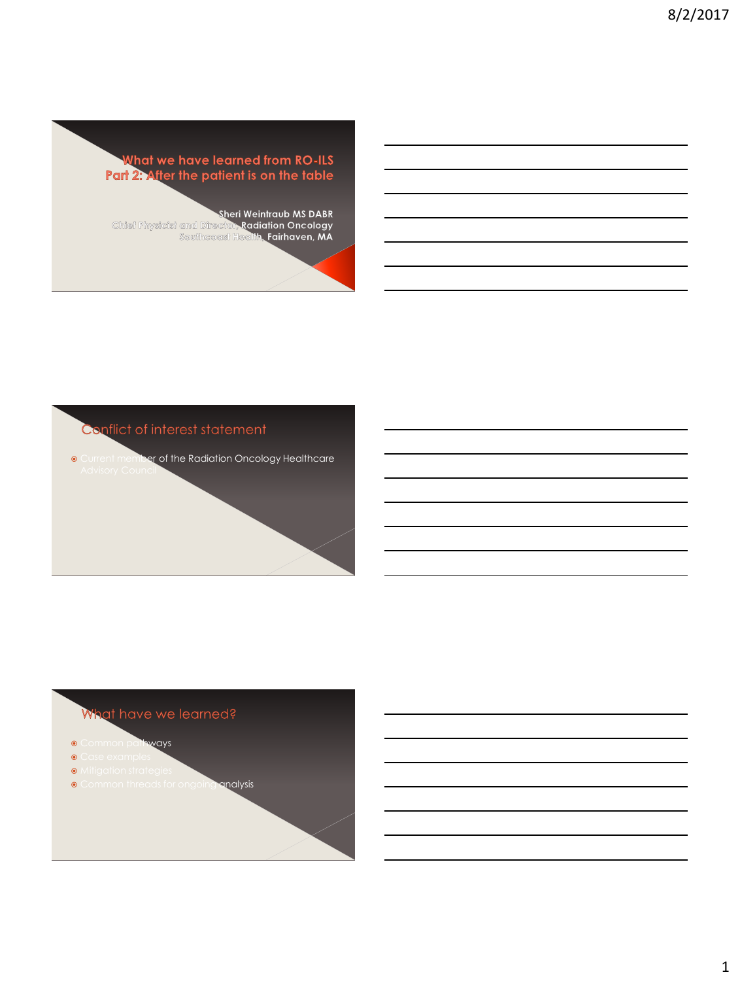



## What have we

- $\circ$  Common pathways
- $\odot$
- Mitigation strategies
- **Common threads for ongoing analysis**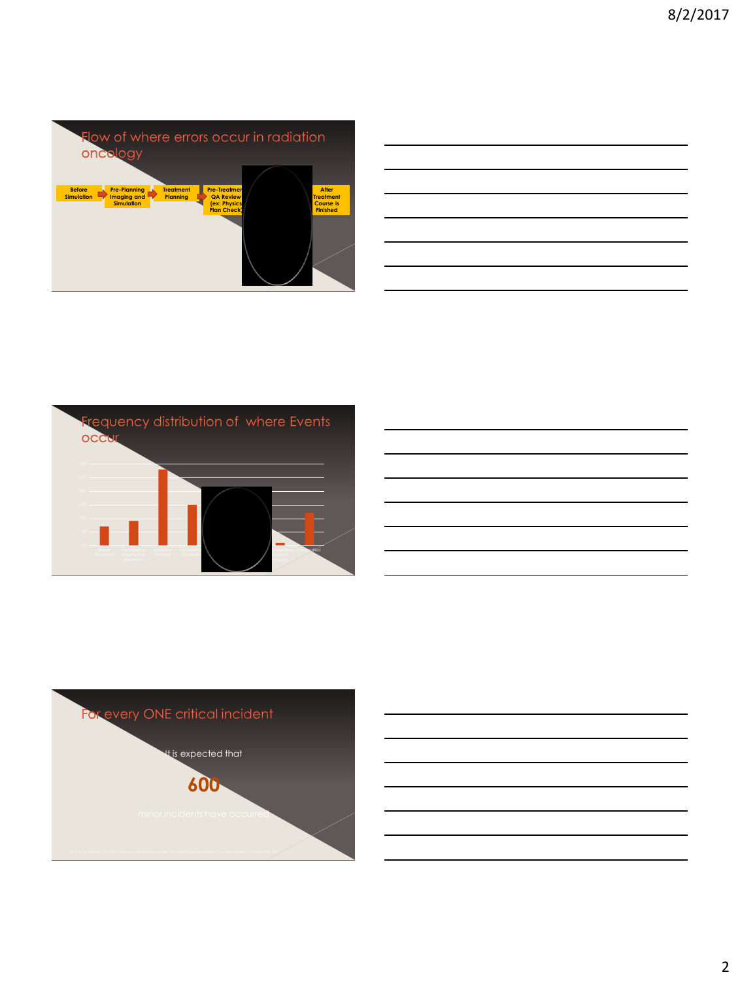|                                    | oncology                                                |                                     |                                                                              | Flow of where errors occur in radiation |                                                                         |
|------------------------------------|---------------------------------------------------------|-------------------------------------|------------------------------------------------------------------------------|-----------------------------------------|-------------------------------------------------------------------------|
| <b>Before</b><br><b>Simulation</b> | <b>Pre-Planning</b><br>Imaging and<br><b>Simulation</b> | <b>Treatment</b><br><b>Planning</b> | <b>Pre-Treatmen</b><br><b>QA Review</b><br>(ex: Physics<br><b>Plan Check</b> |                                         | <b>After</b><br><b>Treatment</b><br><b>Course</b> is<br><b>Finished</b> |

|  |  | _____ |
|--|--|-------|
|  |  |       |
|  |  |       |
|  |  |       |





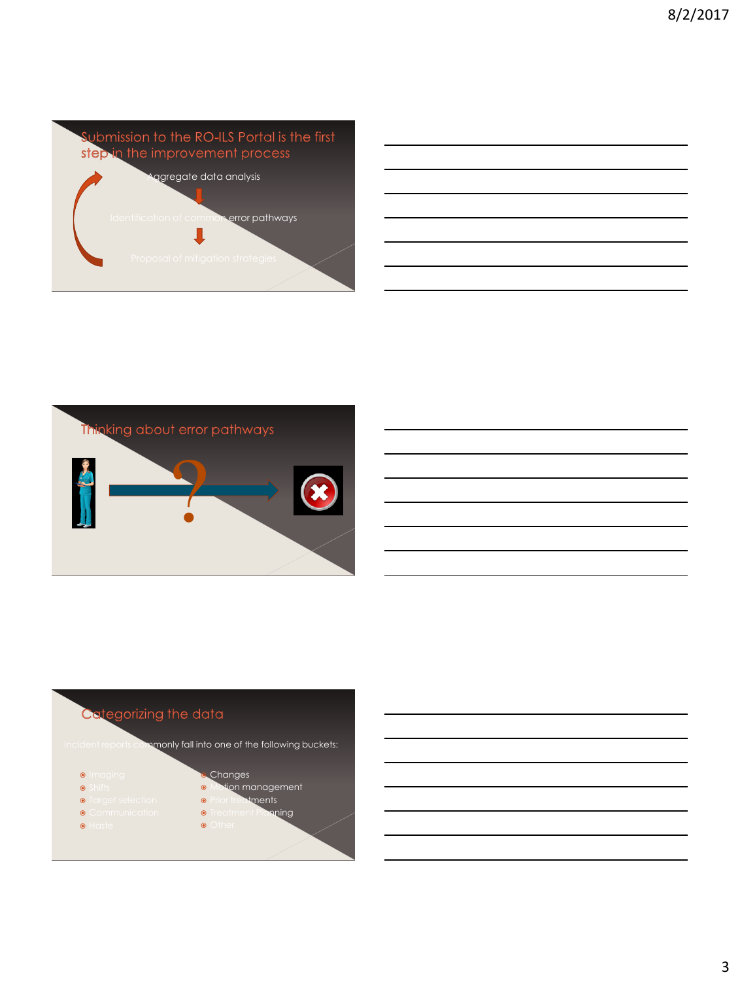

| <u> 1989 - Johann John Stone, markin sanadi amerikan bahasa dan berasal dan berasal dalam berasal dalam berasal da</u> |  |                                                                                                                                                                                                                                      |
|------------------------------------------------------------------------------------------------------------------------|--|--------------------------------------------------------------------------------------------------------------------------------------------------------------------------------------------------------------------------------------|
|                                                                                                                        |  | <u> London Communication and the communication of the communication of the communication of the communication of the communication of the communication of the communication of the communication of the communication of the co</u> |
|                                                                                                                        |  |                                                                                                                                                                                                                                      |
| <u> La Carlo de la Carlo de la Carlo de la Carlo de la Carlo de la Carlo de la Carlo de la Carlo de la Carlo de l</u>  |  |                                                                                                                                                                                                                                      |
| <u> 2000 - Andrea Andrew Maria (h. 1888).</u>                                                                          |  |                                                                                                                                                                                                                                      |
| ,我们也不会有什么?""我们的人,我们也不会有什么?""我们的人,我们也不会有什么?""我们的人,我们也不会有什么?""我们的人,我们也不会有什么?""我们的人                                       |  |                                                                                                                                                                                                                                      |



#### egorizing the data Ca

Inceports commonly fall into one of the following buckets:

Other



- $\odot$
- **Target selection**
- **Communication**
- Haste
- Motion management • Prior treatments **Treatment Planning**

Changes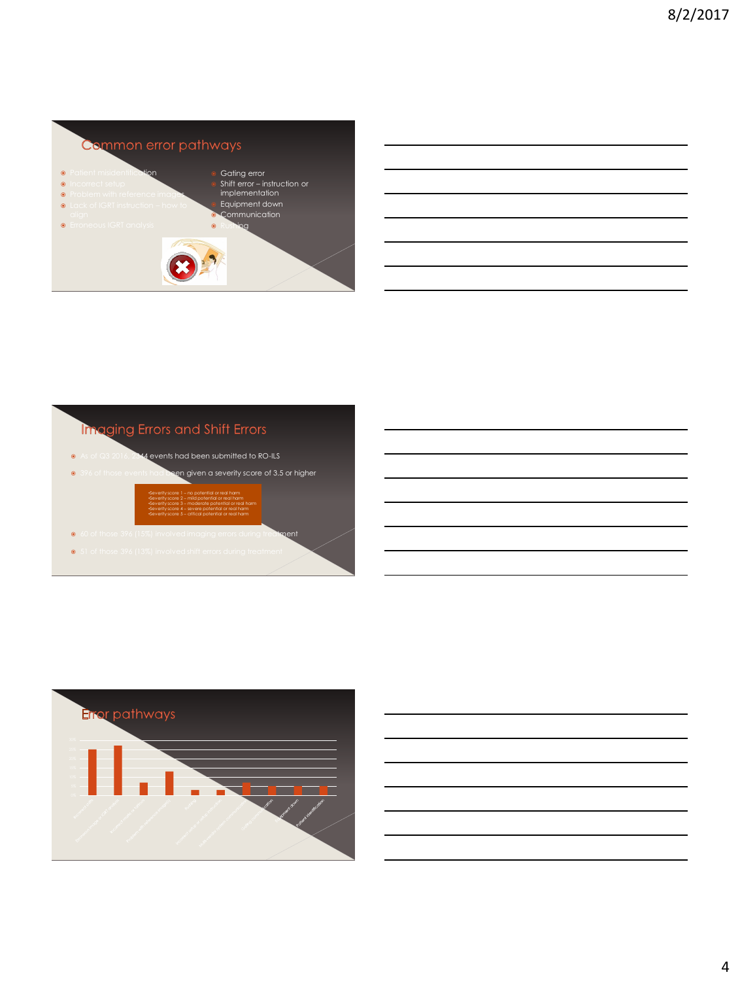

| <u> 1989 - Andrea Andrew Maria (h. 1989).</u> |  |  |  |
|-----------------------------------------------|--|--|--|
|                                               |  |  |  |

# Imaging Errors and Shift Errors

 $\epsilon$  events had been submitted to RO-ILS





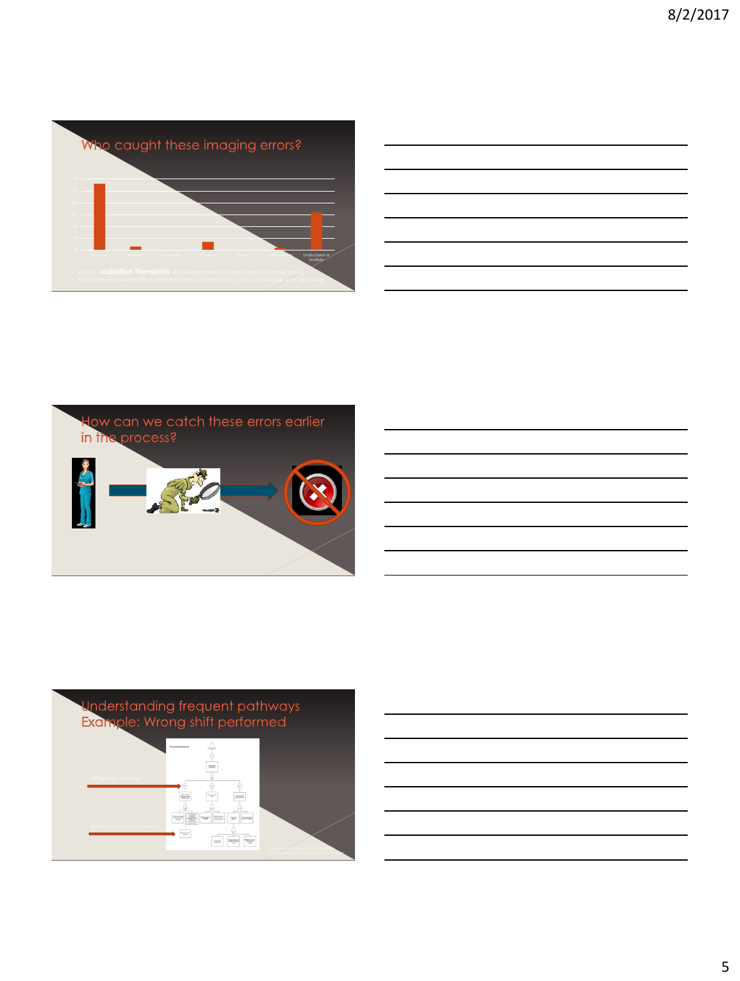

|  |  | ,我们的人们就会在这里,我们的人们就会在这里,我们的人们就会在这里,我们的人们就会在这里,我们的人们就会在这里,我们的人们就会在这里,我们的人们就会在这里,我们<br>第一百一十一章 我们的人们的人们,我们的人们的人们,我们的人们的人们的人们,我们的人们的人们,我们的人们的人们,我们的人们的人们,我们的人们都会不会不会。我们的 |
|--|--|----------------------------------------------------------------------------------------------------------------------------------------------------------------------|
|  |  | <u> 1989 - Johann Stoff, deutscher Stoff, der Stoff, der Stoff, der Stoff, der Stoff, der Stoff, der Stoff, der S</u>                                                |
|  |  | <u> 1989 - Johann Stoff, deutscher Stoff, der Stoff, der Stoff, der Stoff, der Stoff, der Stoff, der Stoff, der S</u>                                                |
|  |  | <u> 1989 - Johann Stoff, deutscher Stoff, der Stoff, der Stoff, der Stoff, der Stoff, der Stoff, der Stoff, der S</u>                                                |
|  |  | <u> 1989 - Johann Stoff, amerikansk politiker (d. 1989)</u>                                                                                                          |
|  |  | <u> 1989 - Johann Barn, amerikan bernama di sebagai bernama di sebagai bernama di sebagai bernama di sebagai ber</u>                                                 |
|  |  | ,我们也不会有什么?""我们的人,我们也不会有什么?""我们的人,我们也不会有什么?""我们的人,我们也不会有什么?""我们的人,我们也不会有什么?""我们的人                                                                                     |





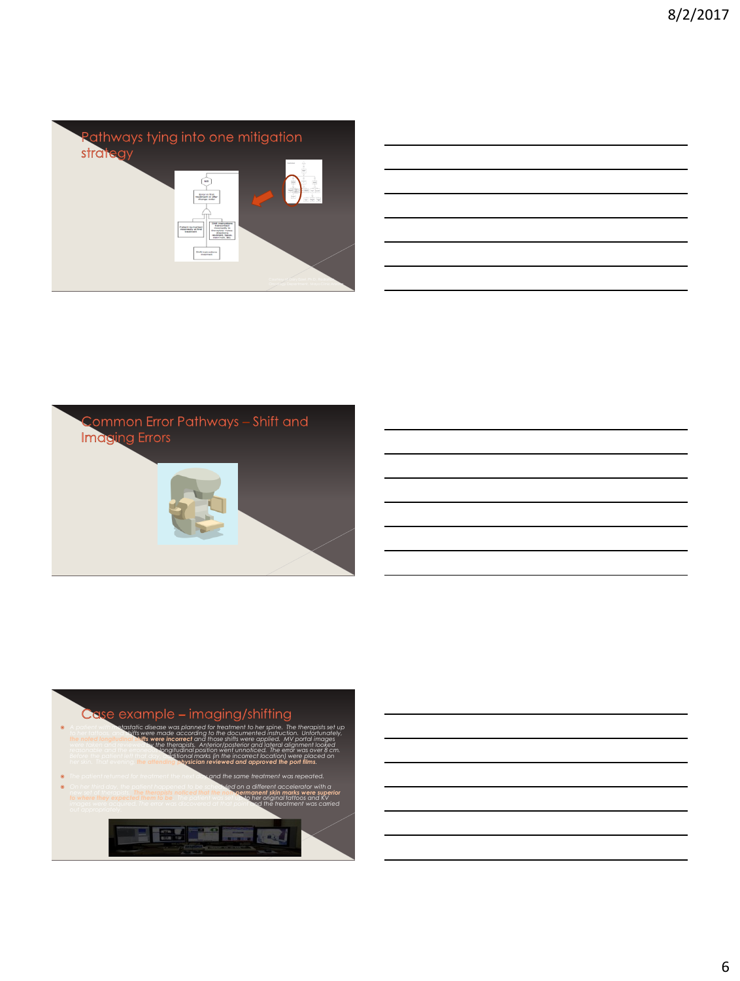

| <u> 1989 - Johann Stoff, amerikansk politiker (d. 1989)</u>                                                           |  |
|-----------------------------------------------------------------------------------------------------------------------|--|
| <u> 1989 - Andrea Andrew Maria (h. 1989).</u>                                                                         |  |
| <u> 1989 - Johann Stoff, deutscher Stoff, der Stoff, der Stoff, der Stoff, der Stoff, der Stoff, der Stoff, der S</u> |  |
| <u> 1989 - Johann Stoff, amerikansk politiker (d. 1989)</u>                                                           |  |
| <u> 1989 - Johann Stoff, deutscher Stoff, der Stoff, der Stoff, der Stoff, der Stoff, der Stoff, der Stoff, der S</u> |  |
| <u> 1989 - Andrea Andrew Maria (h. 1989).</u>                                                                         |  |





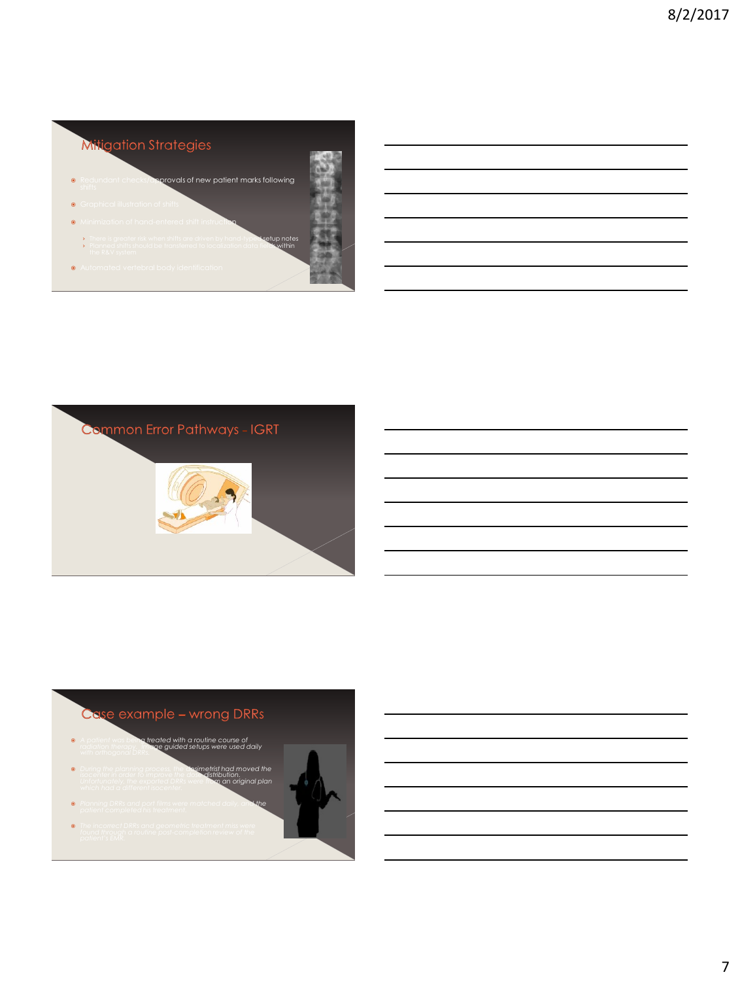



## $\mathbf{C}\mathbf{C}$

- *A patient was being treated with a routine course of radiation therapy. Image guided setups were used daily*
- *During the planning process, the dosimetrist had moved the isocenter in order to improve the dose distribution. Unfortunately, the exported DRRs were from an original plan*
- *Planning DRRs and port films were matched daily, and the*
- *The incorrect DRRs and geometric treatment miss were*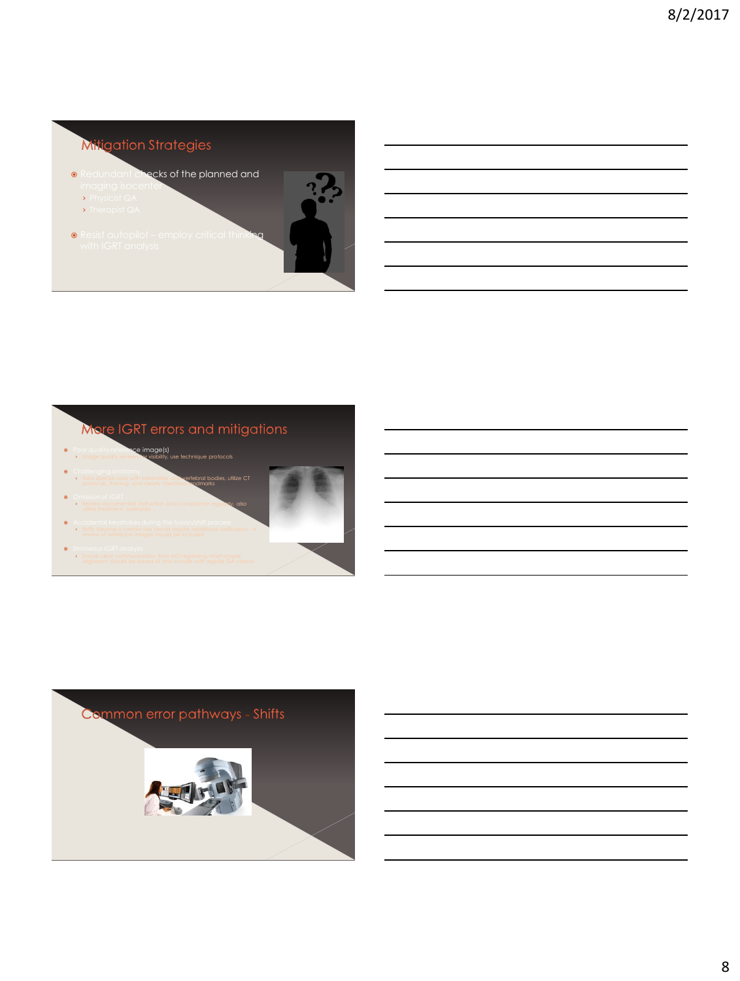## **Mitigation Strate**

- Redundant checks of the planned and
	- imaging isocenter › Physicist QA
	- › Therapist QA
- **•** Resist autopilot employ critical thinking



- **•** Poor quality reference image(s) **Image quality reviews for visibility, use technique protocols**
- **Challenging anatomy >** Take special care with extremities and vertebral bodies, utilize CT protocols, training, and clearly identified landmarks **O** Omission of IGRT
- **>** Review documented instruction and compliance regularly, also Accidental keystrokes during the fusion/shift process
- › Shifts beyond a certain size should require additional verification. A
- **Erroneous IGRT analysis** › Ensure clear communication from MD regarding what proper

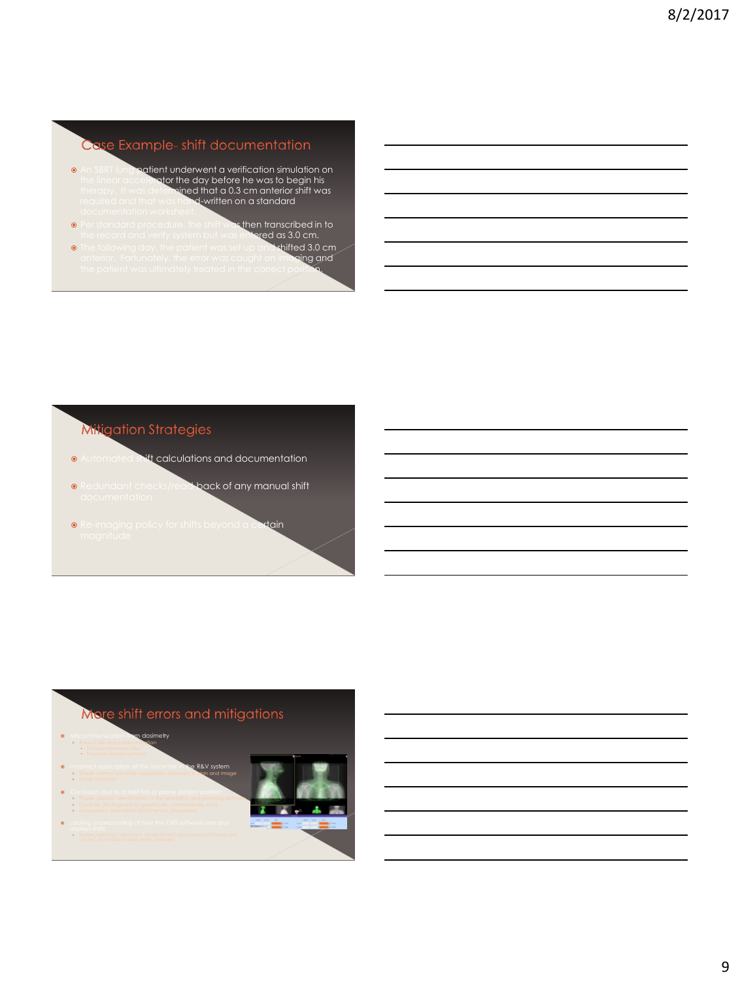### $\mathbf{C}$ d

- **An SBRT lung patient underwent a verification simulation on** ator the day before he was to begin his therapy. It was determine**d that a 0.3 cm anterior shift was**<br>required and that was hand-w**ritten on a standard**
- **•** Per standard procedure, the shift was then transcribed in to then transcribed in to<br>s entered as 3.0 cm.<br>et up and shifted 3.0 cm<sub>.</sub>
- **The following day, the patient was set up and shifted 3.0 cm**<br>anterior. Fortunately, the error was caught on imaging and the patient was caught on imaging and the patient was ultimately treated in the correct position.<br>The correct position.

# Mitigation Strategie Automated shift calculations and documentation edundant checks/read<br>ocumentation **.** Redundant checks/read-back of any manual shift **•** Re-imaging policy for shifts beyond a certain

## **Mo**

- **Miscommunication from dosimetry • Robust QA and communication**  Multiple treatment sites **Previously treated patients** R&V sy
- **>** Ensure correct isocenter association between tx **plan and image** › Utilize checklists
- **•** Confusion due to a feet first or prone patient position › Proper position identification in the simulation and planning software › Consider 3D diagrams to graphically communicate shifts,
- › Incorporate orientation into time-out procedures **.** Lacking understanding of how the IGRT software uses and › System training is important. Understand if automated shift boxes are

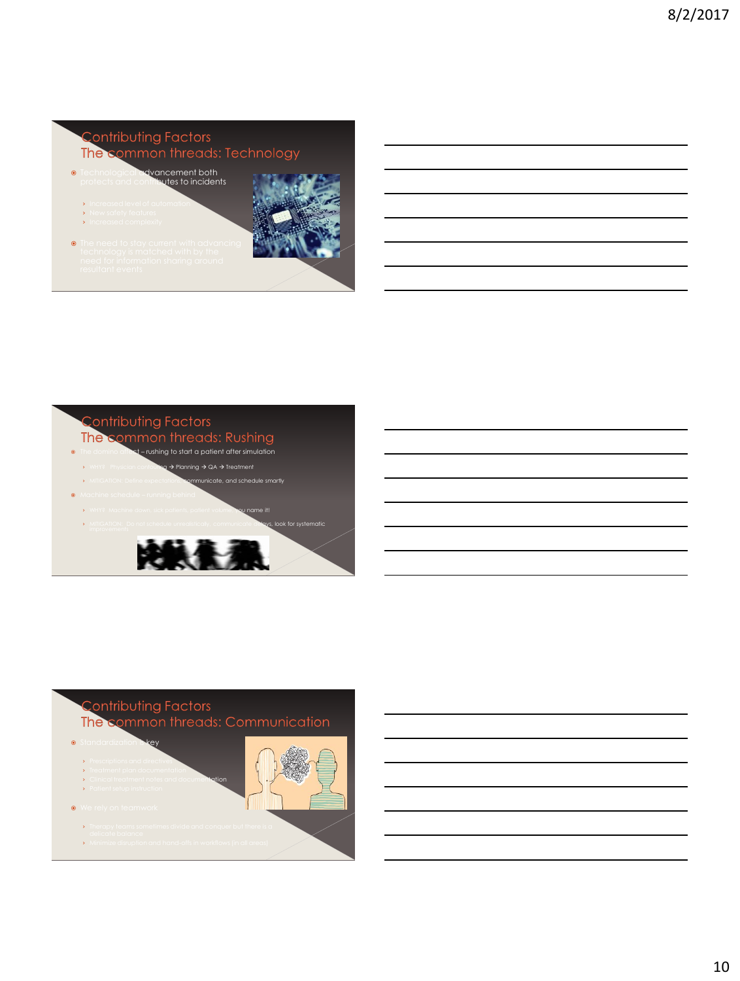

The c

- rushing to start a patient after simulation
- $\alpha \rightarrow \alpha A \rightarrow \alpha$
- > MITIGATION: Define expectations, communicate, and schedule smartly Machine schedule – running behind
- › WHY? Machine down, sick patients, patient volume, you name it!



## The c **Standardization is key** › Prescriptions and directives › Treatment plan documentation **>** Clinical treatment notes and documentation › Patient setup instruction **We rely on teamwork** › Therapy teams sometimes divide and conquer but there is a › Minimize disruption and hand-offs in workflows (in all areas)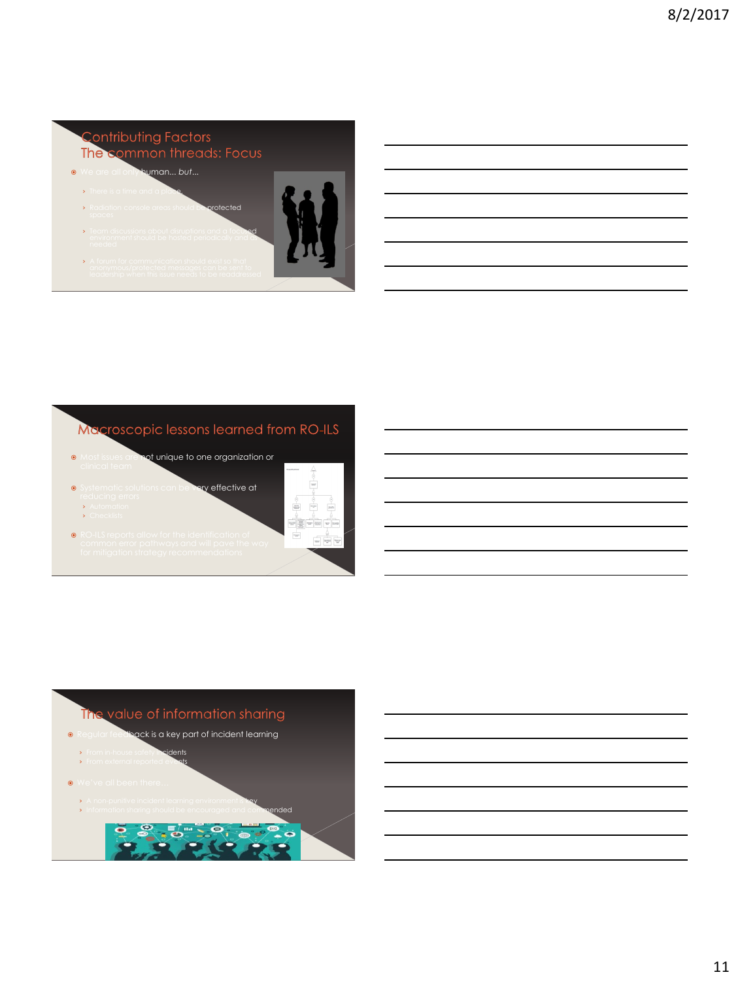# The c We are all only human... *but*... > There is a time and a place. otected

- **>** Team discussions about disruptions and a focused environment should be hosted periodically and as
- › A forum for communication should exist so that

# Macroscopic lessons learned from RO-ILS

 $\alpha$  effective at

- ot unique to one organization or
- 
- › Automation
- › Checklists
- RO-ILS reports allow for the identification of

| <b>Three Aff performed</b>          | ç                               |
|-------------------------------------|---------------------------------|
|                                     | $\frac{1}{2}$                   |
| ÷                                   | ٠                               |
| -an-<br>٠                           | he gan<br>24.17<br>٠            |
| Ė<br>÷<br><b>SOLUTION</b><br>æ<br>z | <b>TOP</b><br>http:<br>w<br>100 |
| <b>SERVICE</b><br>≈                 | 79297<br>w<br>$\frac{1}{2}$     |
|                                     |                                 |



- › A non-punitive incident learning environment is key Information sharing should be encouraged and commended
- $\bullet$